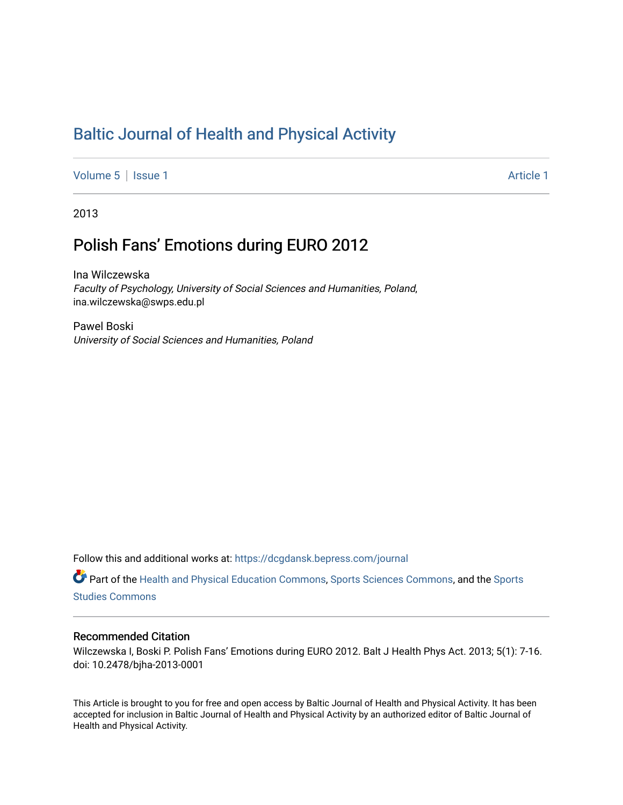# [Baltic Journal of Health and Physical Activity](https://dcgdansk.bepress.com/journal)

[Volume 5](https://dcgdansk.bepress.com/journal/vol5) | [Issue 1](https://dcgdansk.bepress.com/journal/vol5/iss1) Article 1

2013

# Polish Fans' Emotions during EURO 2012

Ina Wilczewska Faculty of Psychology, University of Social Sciences and Humanities, Poland, ina.wilczewska@swps.edu.pl

Pawel Boski University of Social Sciences and Humanities, Poland

Follow this and additional works at: [https://dcgdansk.bepress.com/journal](https://dcgdansk.bepress.com/journal?utm_source=dcgdansk.bepress.com%2Fjournal%2Fvol5%2Fiss1%2F1&utm_medium=PDF&utm_campaign=PDFCoverPages)

Part of the [Health and Physical Education Commons](http://network.bepress.com/hgg/discipline/1327?utm_source=dcgdansk.bepress.com%2Fjournal%2Fvol5%2Fiss1%2F1&utm_medium=PDF&utm_campaign=PDFCoverPages), [Sports Sciences Commons](http://network.bepress.com/hgg/discipline/759?utm_source=dcgdansk.bepress.com%2Fjournal%2Fvol5%2Fiss1%2F1&utm_medium=PDF&utm_campaign=PDFCoverPages), and the [Sports](http://network.bepress.com/hgg/discipline/1198?utm_source=dcgdansk.bepress.com%2Fjournal%2Fvol5%2Fiss1%2F1&utm_medium=PDF&utm_campaign=PDFCoverPages)  [Studies Commons](http://network.bepress.com/hgg/discipline/1198?utm_source=dcgdansk.bepress.com%2Fjournal%2Fvol5%2Fiss1%2F1&utm_medium=PDF&utm_campaign=PDFCoverPages) 

### Recommended Citation

Wilczewska I, Boski P. Polish Fans' Emotions during EURO 2012. Balt J Health Phys Act. 2013; 5(1): 7-16. doi: 10.2478/bjha-2013-0001

This Article is brought to you for free and open access by Baltic Journal of Health and Physical Activity. It has been accepted for inclusion in Baltic Journal of Health and Physical Activity by an authorized editor of Baltic Journal of Health and Physical Activity.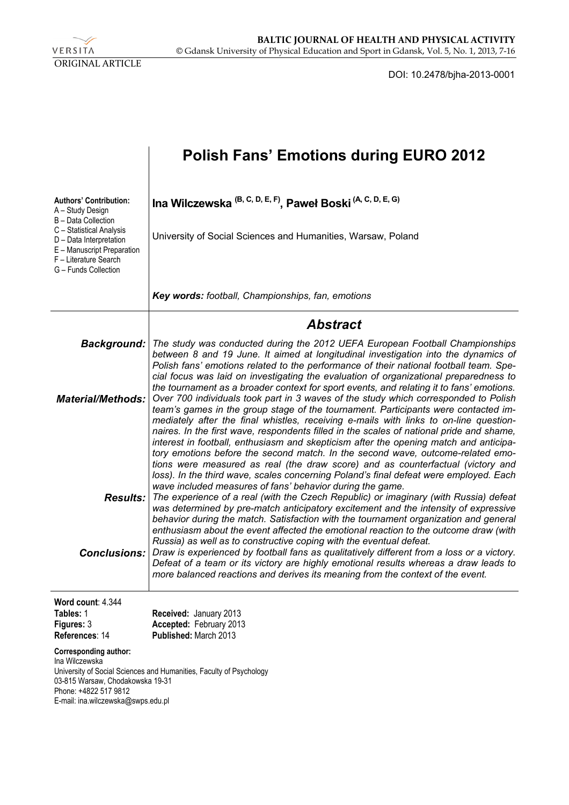

DOI: 10.2478/bjha-2013-0001

|                                                                                                                                            | <b>Polish Fans' Emotions during EURO 2012</b>                                                                                                                                                                                                                                                                                                                                                                                                                                                                                                                                                                                  |
|--------------------------------------------------------------------------------------------------------------------------------------------|--------------------------------------------------------------------------------------------------------------------------------------------------------------------------------------------------------------------------------------------------------------------------------------------------------------------------------------------------------------------------------------------------------------------------------------------------------------------------------------------------------------------------------------------------------------------------------------------------------------------------------|
| <b>Authors' Contribution:</b><br>A - Study Design<br>B - Data Collection<br>C - Statistical Analysis<br>D - Data Interpretation            | Ina Wilczewska <sup>(B, C, D, E, F)</sup> , Paweł Boski <sup>(A, C, D, E, G)</sup><br>University of Social Sciences and Humanities, Warsaw, Poland                                                                                                                                                                                                                                                                                                                                                                                                                                                                             |
| E - Manuscript Preparation<br>F - Literature Search<br>G - Funds Collection                                                                |                                                                                                                                                                                                                                                                                                                                                                                                                                                                                                                                                                                                                                |
|                                                                                                                                            | Key words: football, Championships, fan, emotions                                                                                                                                                                                                                                                                                                                                                                                                                                                                                                                                                                              |
|                                                                                                                                            | Abstract                                                                                                                                                                                                                                                                                                                                                                                                                                                                                                                                                                                                                       |
| <b>Background:</b><br><b>Material/Methods:</b>                                                                                             | The study was conducted during the 2012 UEFA European Football Championships<br>between 8 and 19 June. It aimed at longitudinal investigation into the dynamics of<br>Polish fans' emotions related to the performance of their national football team. Spe-<br>cial focus was laid on investigating the evaluation of organizational preparedness to<br>the tournament as a broader context for sport events, and relating it to fans' emotions.<br>Over 700 individuals took part in 3 waves of the study which corresponded to Polish<br>team's games in the group stage of the tournament. Participants were contacted im- |
|                                                                                                                                            | mediately after the final whistles, receiving e-mails with links to on-line question-<br>naires. In the first wave, respondents filled in the scales of national pride and shame,<br>interest in football, enthusiasm and skepticism after the opening match and anticipa-<br>tory emotions before the second match. In the second wave, outcome-related emo-<br>tions were measured as real (the draw score) and as counterfactual (victory and<br>loss). In the third wave, scales concerning Poland's final defeat were employed. Each<br>wave included measures of fans' behavior during the game.                         |
| <b>Results:</b>                                                                                                                            | The experience of a real (with the Czech Republic) or imaginary (with Russia) defeat<br>was determined by pre-match anticipatory excitement and the intensity of expressive<br>behavior during the match. Satisfaction with the tournament organization and general<br>enthusiasm about the event affected the emotional reaction to the outcome draw (with<br>Russia) as well as to constructive coping with the eventual defeat.                                                                                                                                                                                             |
| <b>Conclusions:</b>                                                                                                                        | Draw is experienced by football fans as qualitatively different from a loss or a victory.<br>Defeat of a team or its victory are highly emotional results whereas a draw leads to<br>more balanced reactions and derives its meaning from the context of the event.                                                                                                                                                                                                                                                                                                                                                            |
| Word count: 4.344<br>Tables: 1<br>Figures: 3<br>References: 14                                                                             | Received: January 2013<br>Accepted: February 2013<br>Published: March 2013                                                                                                                                                                                                                                                                                                                                                                                                                                                                                                                                                     |
| Corresponding author:<br>Ina Wilczewska<br>03-815 Warsaw, Chodakowska 19-31<br>Phone: +4822 517 9812<br>E-mail: ina.wilczewska@swps.edu.pl | University of Social Sciences and Humanities, Faculty of Psychology                                                                                                                                                                                                                                                                                                                                                                                                                                                                                                                                                            |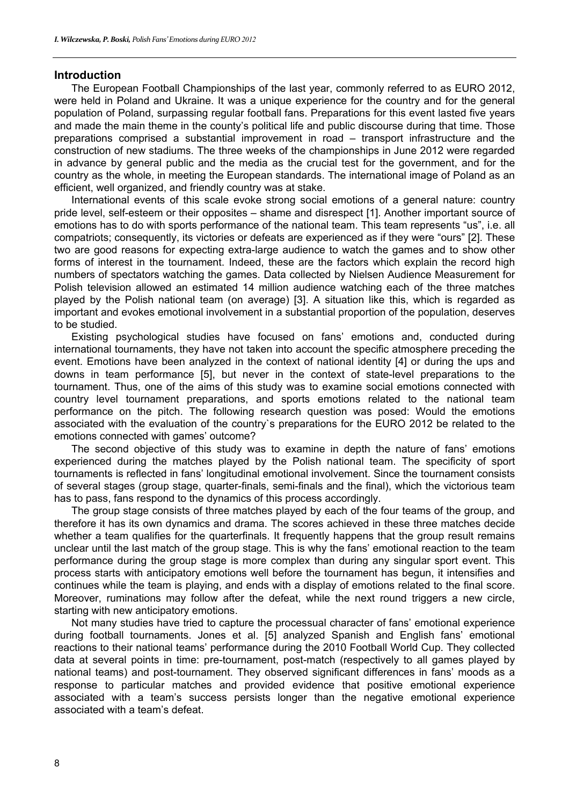### **Introduction**

The European Football Championships of the last year, commonly referred to as EURO 2012, were held in Poland and Ukraine. It was a unique experience for the country and for the general population of Poland, surpassing regular football fans. Preparations for this event lasted five years and made the main theme in the county's political life and public discourse during that time. Those preparations comprised a substantial improvement in road – transport infrastructure and the construction of new stadiums. The three weeks of the championships in June 2012 were regarded in advance by general public and the media as the crucial test for the government, and for the country as the whole, in meeting the European standards. The international image of Poland as an efficient, well organized, and friendly country was at stake.

International events of this scale evoke strong social emotions of a general nature: country pride level, self-esteem or their opposites – shame and disrespect [1]. Another important source of emotions has to do with sports performance of the national team. This team represents "us", i.e. all compatriots; consequently, its victories or defeats are experienced as if they were "ours" [2]. These two are good reasons for expecting extra-large audience to watch the games and to show other forms of interest in the tournament. Indeed, these are the factors which explain the record high numbers of spectators watching the games. Data collected by Nielsen Audience Measurement for Polish television allowed an estimated 14 million audience watching each of the three matches played by the Polish national team (on average) [3]. A situation like this, which is regarded as important and evokes emotional involvement in a substantial proportion of the population, deserves to be studied.

Existing psychological studies have focused on fans' emotions and, conducted during international tournaments, they have not taken into account the specific atmosphere preceding the event. Emotions have been analyzed in the context of national identity [4] or during the ups and downs in team performance [5], but never in the context of state-level preparations to the tournament. Thus, one of the aims of this study was to examine social emotions connected with country level tournament preparations, and sports emotions related to the national team performance on the pitch. The following research question was posed: Would the emotions associated with the evaluation of the country`s preparations for the EURO 2012 be related to the emotions connected with games' outcome?

The second objective of this study was to examine in depth the nature of fans' emotions experienced during the matches played by the Polish national team. The specificity of sport tournaments is reflected in fans' longitudinal emotional involvement. Since the tournament consists of several stages (group stage, quarter-finals, semi-finals and the final), which the victorious team has to pass, fans respond to the dynamics of this process accordingly.

The group stage consists of three matches played by each of the four teams of the group, and therefore it has its own dynamics and drama. The scores achieved in these three matches decide whether a team qualifies for the quarterfinals. It frequently happens that the group result remains unclear until the last match of the group stage. This is why the fans' emotional reaction to the team performance during the group stage is more complex than during any singular sport event. This process starts with anticipatory emotions well before the tournament has begun, it intensifies and continues while the team is playing, and ends with a display of emotions related to the final score. Moreover, ruminations may follow after the defeat, while the next round triggers a new circle, starting with new anticipatory emotions.

Not many studies have tried to capture the processual character of fans' emotional experience during football tournaments. Jones et al. [5] analyzed Spanish and English fans' emotional reactions to their national teams' performance during the 2010 Football World Cup. They collected data at several points in time: pre-tournament, post-match (respectively to all games played by national teams) and post-tournament. They observed significant differences in fans' moods as a response to particular matches and provided evidence that positive emotional experience associated with a team's success persists longer than the negative emotional experience associated with a team's defeat.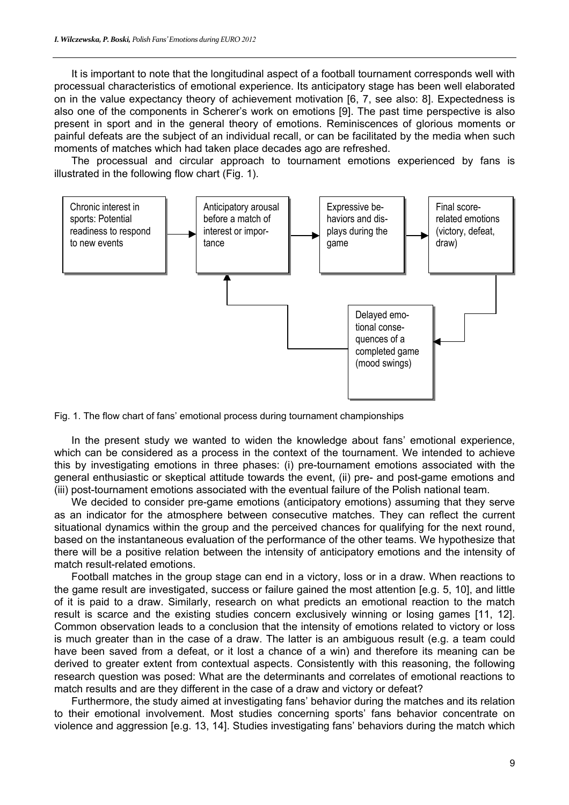It is important to note that the longitudinal aspect of a football tournament corresponds well with processual characteristics of emotional experience. Its anticipatory stage has been well elaborated on in the value expectancy theory of achievement motivation [6, 7, see also: 8]. Expectedness is also one of the components in Scherer's work on emotions [9]. The past time perspective is also present in sport and in the general theory of emotions. Reminiscences of glorious moments or painful defeats are the subject of an individual recall, or can be facilitated by the media when such moments of matches which had taken place decades ago are refreshed.

The processual and circular approach to tournament emotions experienced by fans is illustrated in the following flow chart (Fig. 1).



Fig. 1. The flow chart of fans' emotional process during tournament championships

In the present study we wanted to widen the knowledge about fans' emotional experience, which can be considered as a process in the context of the tournament. We intended to achieve this by investigating emotions in three phases: (i) pre-tournament emotions associated with the general enthusiastic or skeptical attitude towards the event, (ii) pre- and post-game emotions and (iii) post-tournament emotions associated with the eventual failure of the Polish national team.

We decided to consider pre-game emotions (anticipatory emotions) assuming that they serve as an indicator for the atmosphere between consecutive matches. They can reflect the current situational dynamics within the group and the perceived chances for qualifying for the next round, based on the instantaneous evaluation of the performance of the other teams. We hypothesize that there will be a positive relation between the intensity of anticipatory emotions and the intensity of match result-related emotions.

Football matches in the group stage can end in a victory, loss or in a draw. When reactions to the game result are investigated, success or failure gained the most attention [e.g. 5, 10], and little of it is paid to a draw. Similarly, research on what predicts an emotional reaction to the match result is scarce and the existing studies concern exclusively winning or losing games [11, 12]. Common observation leads to a conclusion that the intensity of emotions related to victory or loss is much greater than in the case of a draw. The latter is an ambiguous result (e.g. a team could have been saved from a defeat, or it lost a chance of a win) and therefore its meaning can be derived to greater extent from contextual aspects. Consistently with this reasoning, the following research question was posed: What are the determinants and correlates of emotional reactions to match results and are they different in the case of a draw and victory or defeat?

Furthermore, the study aimed at investigating fans' behavior during the matches and its relation to their emotional involvement. Most studies concerning sports' fans behavior concentrate on violence and aggression [e.g. 13, 14]. Studies investigating fans' behaviors during the match which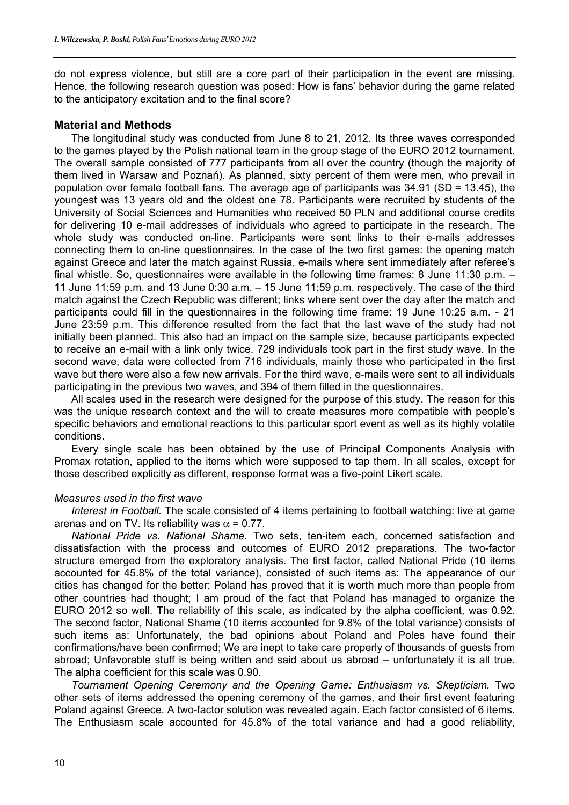do not express violence, but still are a core part of their participation in the event are missing. Hence, the following research question was posed: How is fans' behavior during the game related to the anticipatory excitation and to the final score?

## **Material and Methods**

The longitudinal study was conducted from June 8 to 21, 2012. Its three waves corresponded to the games played by the Polish national team in the group stage of the EURO 2012 tournament. The overall sample consisted of 777 participants from all over the country (though the majority of them lived in Warsaw and Poznań). As planned, sixty percent of them were men, who prevail in population over female football fans. The average age of participants was 34.91 (SD = 13.45), the youngest was 13 years old and the oldest one 78. Participants were recruited by students of the University of Social Sciences and Humanities who received 50 PLN and additional course credits for delivering 10 e-mail addresses of individuals who agreed to participate in the research. The whole study was conducted on-line. Participants were sent links to their e-mails addresses connecting them to on-line questionnaires. In the case of the two first games: the opening match against Greece and later the match against Russia, e-mails where sent immediately after referee's final whistle. So, questionnaires were available in the following time frames: 8 June 11:30 p.m. – 11 June 11:59 p.m. and 13 June 0:30 a.m. – 15 June 11:59 p.m. respectively. The case of the third match against the Czech Republic was different; links where sent over the day after the match and participants could fill in the questionnaires in the following time frame: 19 June 10:25 a.m. - 21 June 23:59 p.m. This difference resulted from the fact that the last wave of the study had not initially been planned. This also had an impact on the sample size, because participants expected to receive an e-mail with a link only twice. 729 individuals took part in the first study wave. In the second wave, data were collected from 716 individuals, mainly those who participated in the first wave but there were also a few new arrivals. For the third wave, e-mails were sent to all individuals participating in the previous two waves, and 394 of them filled in the questionnaires.

All scales used in the research were designed for the purpose of this study. The reason for this was the unique research context and the will to create measures more compatible with people's specific behaviors and emotional reactions to this particular sport event as well as its highly volatile conditions.

Every single scale has been obtained by the use of Principal Components Analysis with Promax rotation, applied to the items which were supposed to tap them. In all scales, except for those described explicitly as different, response format was a five-point Likert scale.

## *Measures used in the first wave*

*Interest in Football.* The scale consisted of 4 items pertaining to football watching: live at game arenas and on TV. Its reliability was  $\alpha$  = 0.77.

*National Pride vs. National Shame.* Two sets, ten-item each, concerned satisfaction and dissatisfaction with the process and outcomes of EURO 2012 preparations. The two-factor structure emerged from the exploratory analysis. The first factor, called National Pride (10 items accounted for 45.8% of the total variance), consisted of such items as: The appearance of our cities has changed for the better; Poland has proved that it is worth much more than people from other countries had thought; I am proud of the fact that Poland has managed to organize the EURO 2012 so well. The reliability of this scale, as indicated by the alpha coefficient, was 0.92. The second factor, National Shame (10 items accounted for 9.8% of the total variance) consists of such items as: Unfortunately, the bad opinions about Poland and Poles have found their confirmations/have been confirmed; We are inept to take care properly of thousands of guests from abroad; Unfavorable stuff is being written and said about us abroad – unfortunately it is all true. The alpha coefficient for this scale was 0.90.

*Tournament Opening Ceremony and the Opening Game: Enthusiasm vs. Skepticism.* Two other sets of items addressed the opening ceremony of the games, and their first event featuring Poland against Greece. A two-factor solution was revealed again. Each factor consisted of 6 items. The Enthusiasm scale accounted for 45.8% of the total variance and had a good reliability,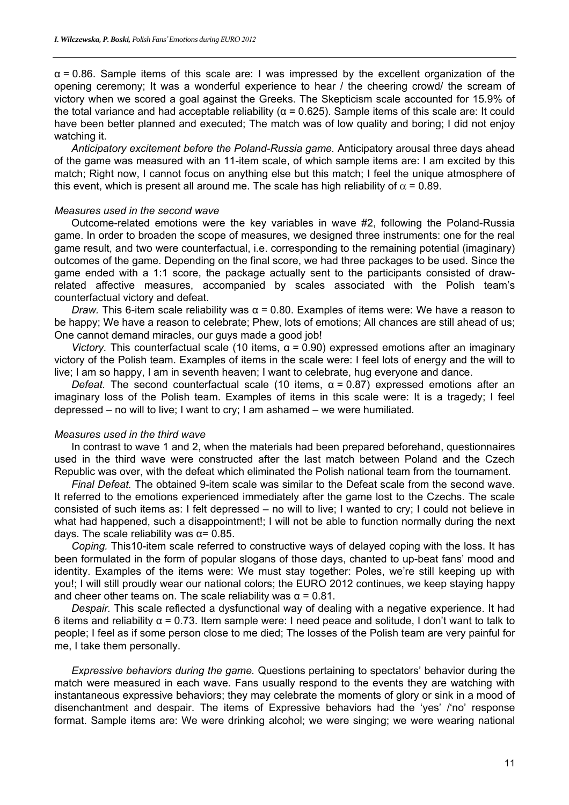$\alpha$  = 0.86. Sample items of this scale are: I was impressed by the excellent organization of the opening ceremony; It was a wonderful experience to hear / the cheering crowd/ the scream of victory when we scored a goal against the Greeks. The Skepticism scale accounted for 15.9% of the total variance and had acceptable reliability ( $α = 0.625$ ). Sample items of this scale are: It could have been better planned and executed; The match was of low quality and boring; I did not enjoy watching it.

*Anticipatory excitement before the Poland-Russia game.* Anticipatory arousal three days ahead of the game was measured with an 11-item scale, of which sample items are: I am excited by this match; Right now, I cannot focus on anything else but this match; I feel the unique atmosphere of this event, which is present all around me. The scale has high reliability of  $\alpha$  = 0.89.

#### *Measures used in the second wave*

Outcome-related emotions were the key variables in wave #2, following the Poland-Russia game. In order to broaden the scope of measures, we designed three instruments: one for the real game result, and two were counterfactual, i.e. corresponding to the remaining potential (imaginary) outcomes of the game. Depending on the final score, we had three packages to be used. Since the game ended with a 1:1 score, the package actually sent to the participants consisted of drawrelated affective measures, accompanied by scales associated with the Polish team's counterfactual victory and defeat.

*Draw.* This 6-item scale reliability was  $α = 0.80$ . Examples of items were: We have a reason to be happy; We have a reason to celebrate; Phew, lots of emotions; All chances are still ahead of us; One cannot demand miracles, our guys made a good job!

*Victory.* This counterfactual scale (10 items,  $\alpha$  = 0.90) expressed emotions after an imaginary victory of the Polish team. Examples of items in the scale were: I feel lots of energy and the will to live; I am so happy, I am in seventh heaven; I want to celebrate, hug everyone and dance.

*Defeat.* The second counterfactual scale (10 items,  $α = 0.87$ ) expressed emotions after an imaginary loss of the Polish team. Examples of items in this scale were: It is a tragedy; I feel depressed – no will to live; I want to cry; I am ashamed – we were humiliated.

#### *Measures used in the third wave*

In contrast to wave 1 and 2, when the materials had been prepared beforehand, questionnaires used in the third wave were constructed after the last match between Poland and the Czech Republic was over, with the defeat which eliminated the Polish national team from the tournament.

*Final Defeat.* The obtained 9-item scale was similar to the Defeat scale from the second wave. It referred to the emotions experienced immediately after the game lost to the Czechs. The scale consisted of such items as: I felt depressed – no will to live; I wanted to cry; I could not believe in what had happened, such a disappointment!; I will not be able to function normally during the next days. The scale reliability was  $\alpha$  = 0.85.

*Coping.* This10-item scale referred to constructive ways of delayed coping with the loss. It has been formulated in the form of popular slogans of those days, chanted to up-beat fans' mood and identity. Examples of the items were: We must stay together: Poles, we're still keeping up with you!; I will still proudly wear our national colors; the EURO 2012 continues, we keep staying happy and cheer other teams on. The scale reliability was  $\alpha = 0.81$ .

*Despair.* This scale reflected a dysfunctional way of dealing with a negative experience. It had 6 items and reliability α = 0.73. Item sample were: I need peace and solitude, I don't want to talk to people; I feel as if some person close to me died; The losses of the Polish team are very painful for me, I take them personally.

*Expressive behaviors during the game.* Questions pertaining to spectators' behavior during the match were measured in each wave. Fans usually respond to the events they are watching with instantaneous expressive behaviors; they may celebrate the moments of glory or sink in a mood of disenchantment and despair. The items of Expressive behaviors had the 'yes' /'no' response format. Sample items are: We were drinking alcohol; we were singing; we were wearing national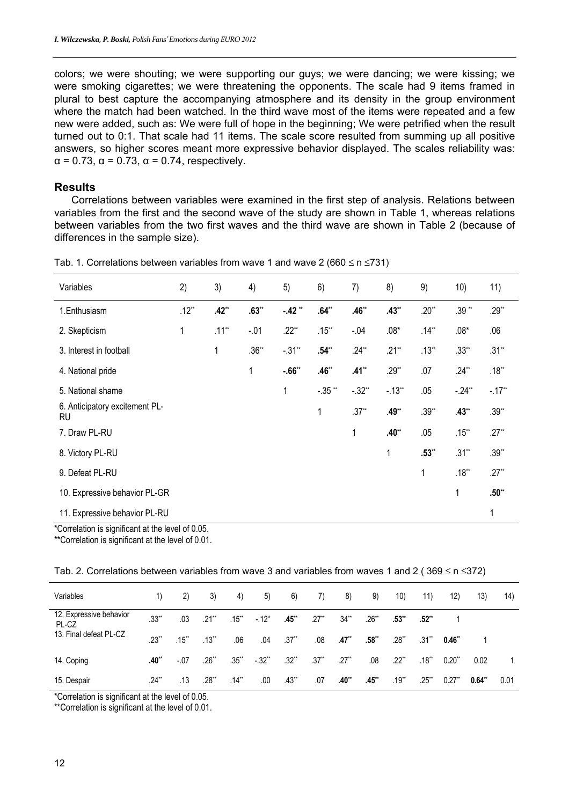colors; we were shouting; we were supporting our guys; we were dancing; we were kissing; we were smoking cigarettes; we were threatening the opponents. The scale had 9 items framed in plural to best capture the accompanying atmosphere and its density in the group environment where the match had been watched. In the third wave most of the items were repeated and a few new were added, such as: We were full of hope in the beginning; We were petrified when the result turned out to 0:1. That scale had 11 items. The scale score resulted from summing up all positive answers, so higher scores meant more expressive behavior displayed. The scales reliability was:  $\alpha$  = 0.73,  $\alpha$  = 0.73,  $\alpha$  = 0.74, respectively.

# **Results**

Correlations between variables were examined in the first step of analysis. Relations between variables from the first and the second wave of the study are shown in Table 1, whereas relations between variables from the two first waves and the third wave are shown in Table 2 (because of differences in the sample size).

| Variables                            | 2)           | 3)       | 4)      | 5)        | 6)        | 7)       | 8)         | 9)       | 10)      | 11)                  |
|--------------------------------------|--------------|----------|---------|-----------|-----------|----------|------------|----------|----------|----------------------|
| 1.Enthusiasm                         | $.12**$      | $.42**$  | $.63**$ | $-42$ **  | $.64**$   | $.46**$  | $.43**$    | $.20**$  | $.39**$  | $.29**$              |
| 2. Skepticism                        | $\mathbf{1}$ | $.11***$ | $-01$   | $.22**$   | $.15***$  | $-04$    | $.08*$     | $.14**$  | $.08*$   | .06                  |
| 3. Interest in football              |              | 1        | $.36**$ | $-.31**$  | $.54**$   | $.24**$  | $.21**$    | $.13***$ | $.33**$  | $.31***$             |
| 4. National pride                    |              |          | 1       | $-0.66**$ | $.46**$   | $.41**$  | $.29**$    | .07      | $.24**$  | $.18***$             |
| 5. National shame                    |              |          |         | 1         | $-.35$ ** | $-.32**$ | $-13^{**}$ | .05      | $-24**$  | $-.17$ <sup>**</sup> |
| 6. Anticipatory excitement PL-<br>RU |              |          |         |           | 1         | $.37**$  | .49**      | $.39**$  | $.43**$  | $.39**$              |
| 7. Draw PL-RU                        |              |          |         |           |           | 1        | $.40**$    | .05      | $.15***$ | $.27**$              |
| 8. Victory PL-RU                     |              |          |         |           |           |          | 1          | $.53**$  | $.31***$ | $.39**$              |
| 9. Defeat PL-RU                      |              |          |         |           |           |          |            | 1        | $.18***$ | $.27**$              |
| 10. Expressive behavior PL-GR        |              |          |         |           |           |          |            |          | 1        | $.50**$              |
| 11. Expressive behavior PL-RU        |              |          |         |           |           |          |            |          |          | 1                    |

Tab. 1. Correlations between variables from wave 1 and wave 2 (660  $\leq$  n  $\leq$ 731)

\*Correlation is significant at the level of 0.05.

\*\*Correlation is significant at the level of 0.01.

| Tab. 2. Correlations between variables from wave 3 and variables from waves 1 and 2 (369 $\leq$ n $\leq$ 372) |  |  |  |
|---------------------------------------------------------------------------------------------------------------|--|--|--|
|---------------------------------------------------------------------------------------------------------------|--|--|--|

| Variables                        | 1)                  | $\mathbf{2}$ | 3)                  | 4)       | 5)      | 6)      | 7)      | 8)                  | 9)         | 10)     | 11)      | 12)       | (13)  | 14)  |
|----------------------------------|---------------------|--------------|---------------------|----------|---------|---------|---------|---------------------|------------|---------|----------|-----------|-------|------|
| 12. Expressive behavior<br>PL-CZ | $.33**$             | .03          | $.21$ <sup>**</sup> | $.15***$ | $-12*$  | $.45**$ | $.27**$ | $34**$              | $.26^{**}$ | $.53**$ | $.52**$  |           |       |      |
| 13. Final defeat PL-CZ           | $.23**$             | .15          | $.13^{**}$          | .06      | .04     | $.37**$ | .08     | .47**               | .58**      | $.28**$ | $.31**$  | 0.46"     |       |      |
| 14. Coping                       | $.40**$             | $-.07$       | $.26**$             | $.35$ ** | $-.32"$ | $.32**$ | $.37**$ | $.27$ <sup>**</sup> | .08        | $.22**$ | $.18***$ | $0.20$ ** | 0.02  |      |
| 15. Despair                      | $.24$ <sup>**</sup> | .13          | $.28$ **            | $.14***$ | .00     | $.43**$ | .07     | $.40**$             | $.45**$    | $.19**$ | .25**    | $0.27$ ** | 0.64" | 0.01 |

\*Correlation is significant at the level of 0.05.

\*\*Correlation is significant at the level of 0.01.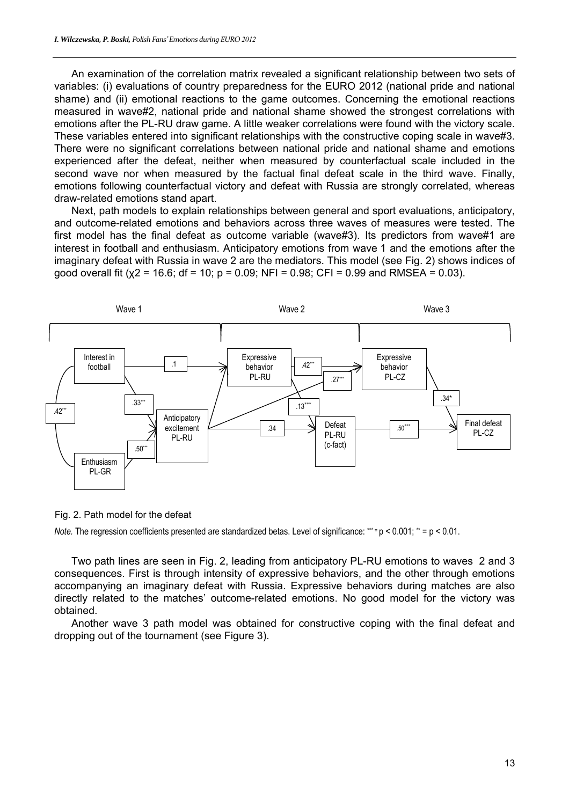An examination of the correlation matrix revealed a significant relationship between two sets of variables: (i) evaluations of country preparedness for the EURO 2012 (national pride and national shame) and (ii) emotional reactions to the game outcomes. Concerning the emotional reactions measured in wave#2, national pride and national shame showed the strongest correlations with emotions after the PL-RU draw game. A little weaker correlations were found with the victory scale. These variables entered into significant relationships with the constructive coping scale in wave#3. There were no significant correlations between national pride and national shame and emotions experienced after the defeat, neither when measured by counterfactual scale included in the second wave nor when measured by the factual final defeat scale in the third wave. Finally, emotions following counterfactual victory and defeat with Russia are strongly correlated, whereas draw-related emotions stand apart.

Next, path models to explain relationships between general and sport evaluations, anticipatory, and outcome-related emotions and behaviors across three waves of measures were tested. The first model has the final defeat as outcome variable (wave#3). Its predictors from wave#1 are interest in football and enthusiasm. Anticipatory emotions from wave 1 and the emotions after the imaginary defeat with Russia in wave 2 are the mediators. This model (see Fig. 2) shows indices of good overall fit ( $x^2 = 16.6$ ; df = 10; p = 0.09; NFI = 0.98; CFI = 0.99 and RMSEA = 0.03).



Fig. 2. Path model for the defeat

*Note.* The regression coefficients presented are standardized betas. Level of significance: \*\*\* = p < 0.001; \*\* = p < 0.01.

Two path lines are seen in Fig. 2, leading from anticipatory PL-RU emotions to waves 2 and 3 consequences. First is through intensity of expressive behaviors, and the other through emotions accompanying an imaginary defeat with Russia. Expressive behaviors during matches are also directly related to the matches' outcome-related emotions. No good model for the victory was obtained.

Another wave 3 path model was obtained for constructive coping with the final defeat and dropping out of the tournament (see Figure 3).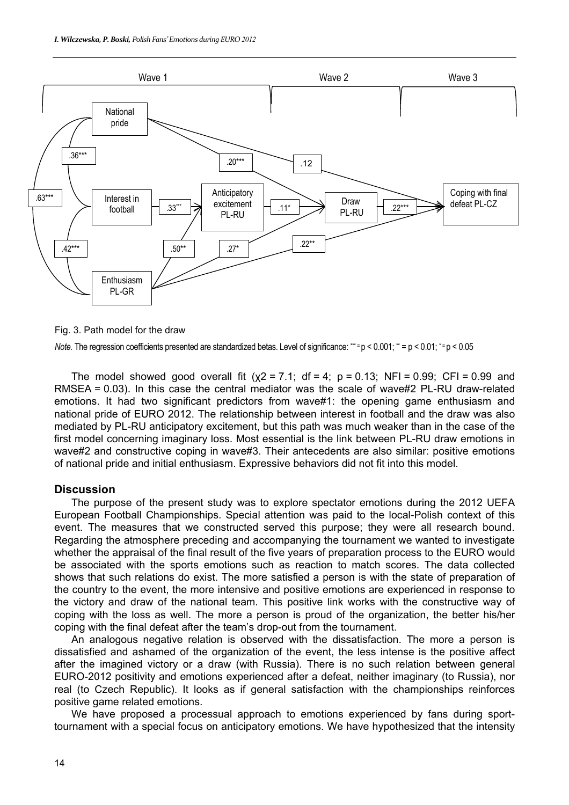

Fig. 3. Path model for the draw

*Note.* The regression coefficients presented are standardized betas. Level of significance: \*\*\* = p < 0.001; \*\* = p < 0.01; \* = p < 0.05

The model showed good overall fit  $(\chi^2 = 7.1; df = 4; p = 0.13; NF = 0.99; CF = 0.99$  and RMSEA = 0.03). In this case the central mediator was the scale of wave#2 PL-RU draw-related emotions. It had two significant predictors from wave#1: the opening game enthusiasm and national pride of EURO 2012. The relationship between interest in football and the draw was also mediated by PL-RU anticipatory excitement, but this path was much weaker than in the case of the first model concerning imaginary loss. Most essential is the link between PL-RU draw emotions in wave#2 and constructive coping in wave#3. Their antecedents are also similar: positive emotions of national pride and initial enthusiasm. Expressive behaviors did not fit into this model.

## **Discussion**

The purpose of the present study was to explore spectator emotions during the 2012 UEFA European Football Championships. Special attention was paid to the local-Polish context of this event. The measures that we constructed served this purpose; they were all research bound. Regarding the atmosphere preceding and accompanying the tournament we wanted to investigate whether the appraisal of the final result of the five years of preparation process to the EURO would be associated with the sports emotions such as reaction to match scores. The data collected shows that such relations do exist. The more satisfied a person is with the state of preparation of the country to the event, the more intensive and positive emotions are experienced in response to the victory and draw of the national team. This positive link works with the constructive way of coping with the loss as well. The more a person is proud of the organization, the better his/her coping with the final defeat after the team's drop-out from the tournament.

An analogous negative relation is observed with the dissatisfaction. The more a person is dissatisfied and ashamed of the organization of the event, the less intense is the positive affect after the imagined victory or a draw (with Russia). There is no such relation between general EURO-2012 positivity and emotions experienced after a defeat, neither imaginary (to Russia), nor real (to Czech Republic). It looks as if general satisfaction with the championships reinforces positive game related emotions.

We have proposed a processual approach to emotions experienced by fans during sporttournament with a special focus on anticipatory emotions. We have hypothesized that the intensity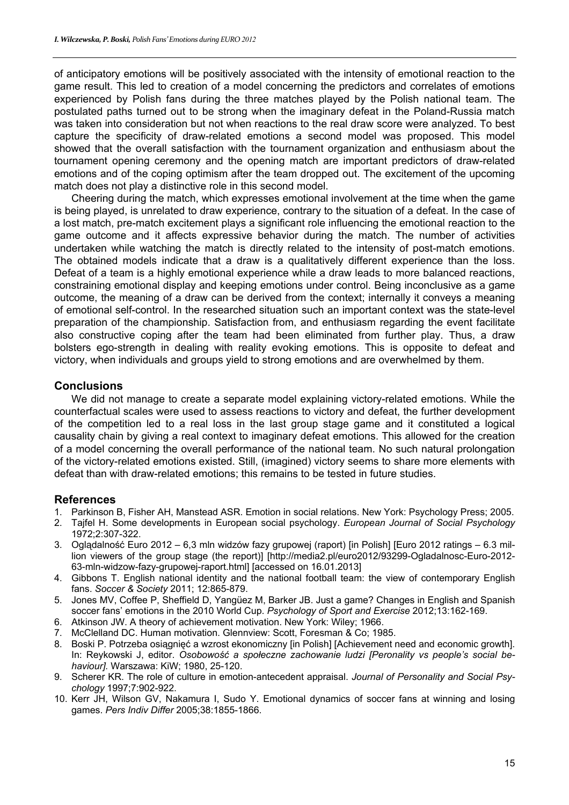of anticipatory emotions will be positively associated with the intensity of emotional reaction to the game result. This led to creation of a model concerning the predictors and correlates of emotions experienced by Polish fans during the three matches played by the Polish national team. The postulated paths turned out to be strong when the imaginary defeat in the Poland-Russia match was taken into consideration but not when reactions to the real draw score were analyzed. To best capture the specificity of draw-related emotions a second model was proposed. This model showed that the overall satisfaction with the tournament organization and enthusiasm about the tournament opening ceremony and the opening match are important predictors of draw-related emotions and of the coping optimism after the team dropped out. The excitement of the upcoming match does not play a distinctive role in this second model.

Cheering during the match, which expresses emotional involvement at the time when the game is being played, is unrelated to draw experience, contrary to the situation of a defeat. In the case of a lost match, pre-match excitement plays a significant role influencing the emotional reaction to the game outcome and it affects expressive behavior during the match. The number of activities undertaken while watching the match is directly related to the intensity of post-match emotions. The obtained models indicate that a draw is a qualitatively different experience than the loss. Defeat of a team is a highly emotional experience while a draw leads to more balanced reactions, constraining emotional display and keeping emotions under control. Being inconclusive as a game outcome, the meaning of a draw can be derived from the context; internally it conveys a meaning of emotional self-control. In the researched situation such an important context was the state-level preparation of the championship. Satisfaction from, and enthusiasm regarding the event facilitate also constructive coping after the team had been eliminated from further play. Thus, a draw bolsters ego-strength in dealing with reality evoking emotions. This is opposite to defeat and victory, when individuals and groups yield to strong emotions and are overwhelmed by them.

## **Conclusions**

We did not manage to create a separate model explaining victory-related emotions. While the counterfactual scales were used to assess reactions to victory and defeat, the further development of the competition led to a real loss in the last group stage game and it constituted a logical causality chain by giving a real context to imaginary defeat emotions. This allowed for the creation of a model concerning the overall performance of the national team. No such natural prolongation of the victory-related emotions existed. Still, (imagined) victory seems to share more elements with defeat than with draw-related emotions; this remains to be tested in future studies.

# **References**

- 1. Parkinson B, Fisher AH, Manstead ASR. Emotion in social relations. New York: Psychology Press; 2005.
- 2. Tajfel H. Some developments in European social psychology. *European Journal of Social Psychology* 1972;2:307-322.
- 3. Oglądalność Euro 2012 6,3 mln widzów fazy grupowej (raport) [in Polish] [Euro 2012 ratings 6.3 million viewers of the group stage (the report)] [http://media2.pl/euro2012/93299-Ogladalnosc-Euro-2012- 63-mln-widzow-fazy-grupowej-raport.html] [accessed on 16.01.2013]
- 4. Gibbons T. English national identity and the national football team: the view of contemporary English fans. *Soccer & Society* 2011; 12:865-879.
- 5. Jones MV, Coffee P, Sheffield D, Yangüez M, Barker JB. Just a game? Changes in English and Spanish soccer fans' emotions in the 2010 World Cup. *Psychology of Sport and Exercise* 2012;13:162-169.
- 6. Atkinson JW. A theory of achievement motivation. New York: Wiley; 1966.
- 7. McClelland DC. Human motivation. Glennview: Scott, Foresman & Co; 1985.
- 8. Boski P. Potrzeba osiągnięć a wzrost ekonomiczny [in Polish] [Achievement need and economic growth]. In: Reykowski J, editor. *Osobowość a społeczne zachowanie ludzi [Peronality vs people's social behaviour].* Warszawa: KiW; 1980, 25-120.
- 9. Scherer KR. The role of culture in emotion-antecedent appraisal. *Journal of Personality and Social Psychology* 1997;7:902-922.
- 10. Kerr JH, Wilson GV, Nakamura I, Sudo Y. Emotional dynamics of soccer fans at winning and losing games. *Pers Indiv Differ* 2005;38:1855-1866.